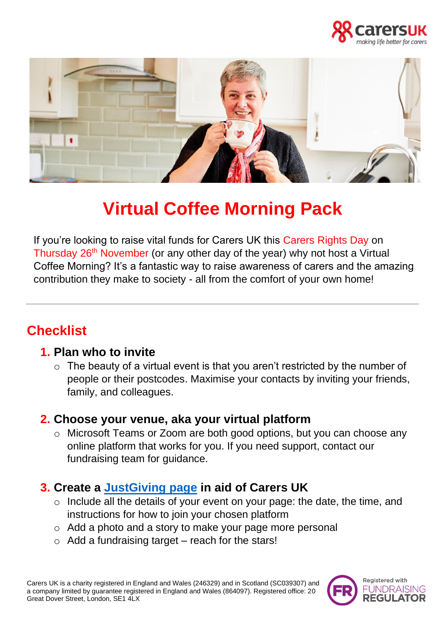



# **Virtual Coffee Morning Pack**

If you're looking to raise vital funds for Carers UK this Carers Rights Day on Thursday 26<sup>th</sup> November (or any other day of the year) why not host a Virtual Coffee Morning? It's a fantastic way to raise awareness of carers and the amazing contribution they make to society - all from the comfort of your own home!

## **Checklist**

#### **1. Plan who to invite**

 $\circ$  The beauty of a virtual event is that you aren't restricted by the number of people or their postcodes. Maximise your contacts by inviting your friends, family, and colleagues.

#### **2. Choose your venue, aka your virtual platform**

o Microsoft Teams or Zoom are both good options, but you can choose any online platform that works for you. If you need support, contact our fundraising team for guidance.

#### **3. Create a [JustGiving page](https://www.justgiving.com/carersuk) in aid of Carers UK**

- o Include all the details of your event on your page: the date, the time, and instructions for how to join your chosen platform
- o Add a photo and a story to make your page more personal
- $\circ$  Add a fundraising target reach for the stars!